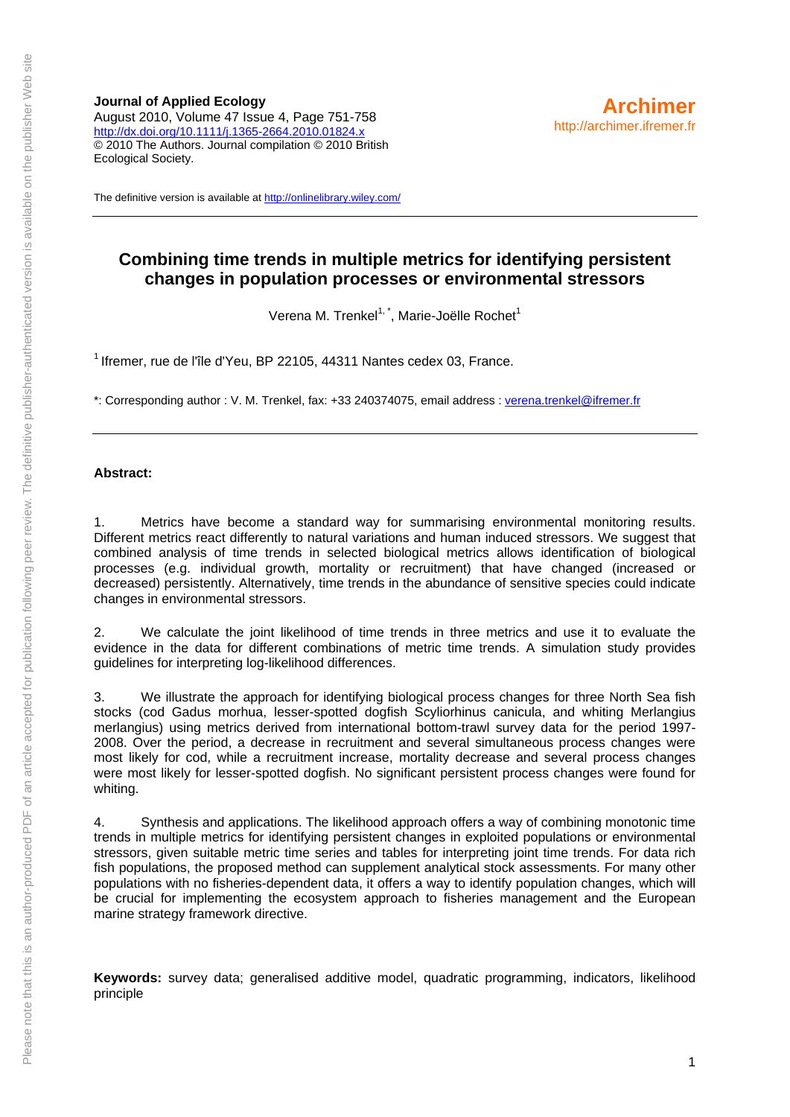**Journal of Applied Ecology**  August 2010, Volume 47 Issue 4, Page 751-758 <http://dx.doi.org/10.1111/j.1365-2664.2010.01824.x> © 2010 The Authors. Journal compilation © 2010 British Ecological Society.

The definitive version is available at<http://onlinelibrary.wiley.com/>

# **Combining time trends in multiple metrics for identifying persistent changes in population processes or environmental stressors**

Verena M. Trenkel<sup>1,\*</sup>, Marie-Joëlle Rochet<sup>1</sup>

 $1$  Ifremer, rue de l'île d'Yeu, BP 22105, 44311 Nantes cedex 03, France.

\*: Corresponding author : V. M. Trenkel, fax: +33 240374075, email address : [verena.trenkel@ifremer.fr](mailto:verena.trenkel@ifremer.fr)

#### **Abstract:**

1. Metrics have become a standard way for summarising environmental monitoring results. Different metrics react differently to natural variations and human induced stressors. We suggest that combined analysis of time trends in selected biological metrics allows identification of biological processes (e.g. individual growth, mortality or recruitment) that have changed (increased or decreased) persistently. Alternatively, time trends in the abundance of sensitive species could indicate changes in environmental stressors.

2. We calculate the joint likelihood of time trends in three metrics and use it to evaluate the evidence in the data for different combinations of metric time trends. A simulation study provides guidelines for interpreting log-likelihood differences.

3. We illustrate the approach for identifying biological process changes for three North Sea fish stocks (cod Gadus morhua, lesser-spotted dogfish Scyliorhinus canicula, and whiting Merlangius merlangius) using metrics derived from international bottom-trawl survey data for the period 1997- 2008. Over the period, a decrease in recruitment and several simultaneous process changes were most likely for cod, while a recruitment increase, mortality decrease and several process changes were most likely for lesser-spotted dogfish. No significant persistent process changes were found for whiting.

4. Synthesis and applications. The likelihood approach offers a way of combining monotonic time trends in multiple metrics for identifying persistent changes in exploited populations or environmental stressors, given suitable metric time series and tables for interpreting joint time trends. For data rich fish populations, the proposed method can supplement analytical stock assessments. For many other populations with no fisheries-dependent data, it offers a way to identify population changes, which will be crucial for implementing the ecosystem approach to fisheries management and the European marine strategy framework directive.

**Keywords:** survey data; generalised additive model, quadratic programming, indicators, likelihood principle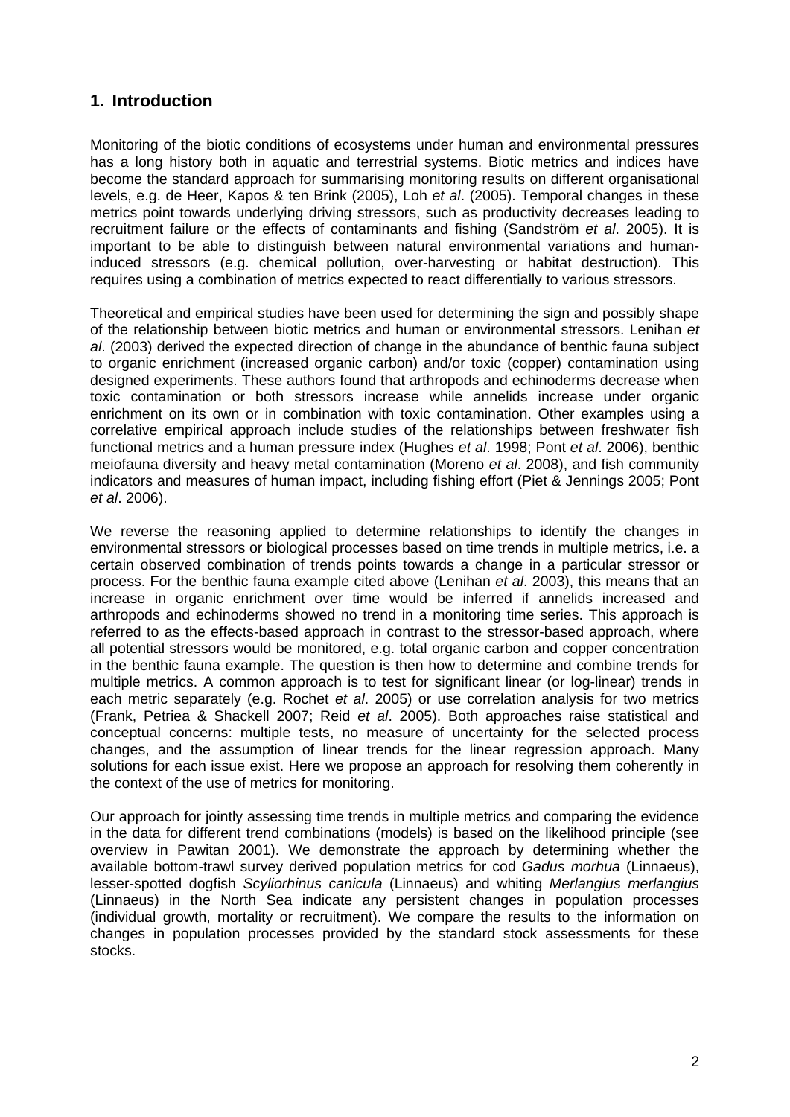## **1. Introduction**

Monitoring of the biotic conditions of ecosystems under human and environmental pressures has a long history both in aquatic and terrestrial systems. Biotic metrics and indices have become the standard approach for summarising monitoring results on different organisational levels, e.g. de Heer, Kapos & ten Brink (2005), Loh *et al*. (2005). Temporal changes in these metrics point towards underlying driving stressors, such as productivity decreases leading to recruitment failure or the effects of contaminants and fishing (Sandström *et al*. 2005). It is important to be able to distinguish between natural environmental variations and humaninduced stressors (e.g. chemical pollution, over-harvesting or habitat destruction). This requires using a combination of metrics expected to react differentially to various stressors.

Theoretical and empirical studies have been used for determining the sign and possibly shape of the relationship between biotic metrics and human or environmental stressors. Lenihan *et al*. (2003) derived the expected direction of change in the abundance of benthic fauna subject to organic enrichment (increased organic carbon) and/or toxic (copper) contamination using designed experiments. These authors found that arthropods and echinoderms decrease when toxic contamination or both stressors increase while annelids increase under organic enrichment on its own or in combination with toxic contamination. Other examples using a correlative empirical approach include studies of the relationships between freshwater fish functional metrics and a human pressure index (Hughes *et al*. 1998; Pont *et al*. 2006), benthic meiofauna diversity and heavy metal contamination (Moreno *et al*. 2008), and fish community indicators and measures of human impact, including fishing effort (Piet & Jennings 2005; Pont *et al*. 2006).

We reverse the reasoning applied to determine relationships to identify the changes in environmental stressors or biological processes based on time trends in multiple metrics, i.e. a certain observed combination of trends points towards a change in a particular stressor or process. For the benthic fauna example cited above (Lenihan *et al*. 2003), this means that an increase in organic enrichment over time would be inferred if annelids increased and arthropods and echinoderms showed no trend in a monitoring time series. This approach is referred to as the effects-based approach in contrast to the stressor-based approach, where all potential stressors would be monitored, e.g. total organic carbon and copper concentration in the benthic fauna example. The question is then how to determine and combine trends for multiple metrics. A common approach is to test for significant linear (or log-linear) trends in each metric separately (e.g. Rochet *et al*. 2005) or use correlation analysis for two metrics (Frank, Petriea & Shackell 2007; Reid *et al*. 2005). Both approaches raise statistical and conceptual concerns: multiple tests, no measure of uncertainty for the selected process changes, and the assumption of linear trends for the linear regression approach. Many solutions for each issue exist. Here we propose an approach for resolving them coherently in the context of the use of metrics for monitoring.

Our approach for jointly assessing time trends in multiple metrics and comparing the evidence in the data for different trend combinations (models) is based on the likelihood principle (see overview in Pawitan 2001). We demonstrate the approach by determining whether the available bottom-trawl survey derived population metrics for cod *Gadus morhua* (Linnaeus), lesser-spotted dogfish *Scyliorhinus canicula* (Linnaeus) and whiting *Merlangius merlangius* (Linnaeus) in the North Sea indicate any persistent changes in population processes (individual growth, mortality or recruitment). We compare the results to the information on changes in population processes provided by the standard stock assessments for these stocks.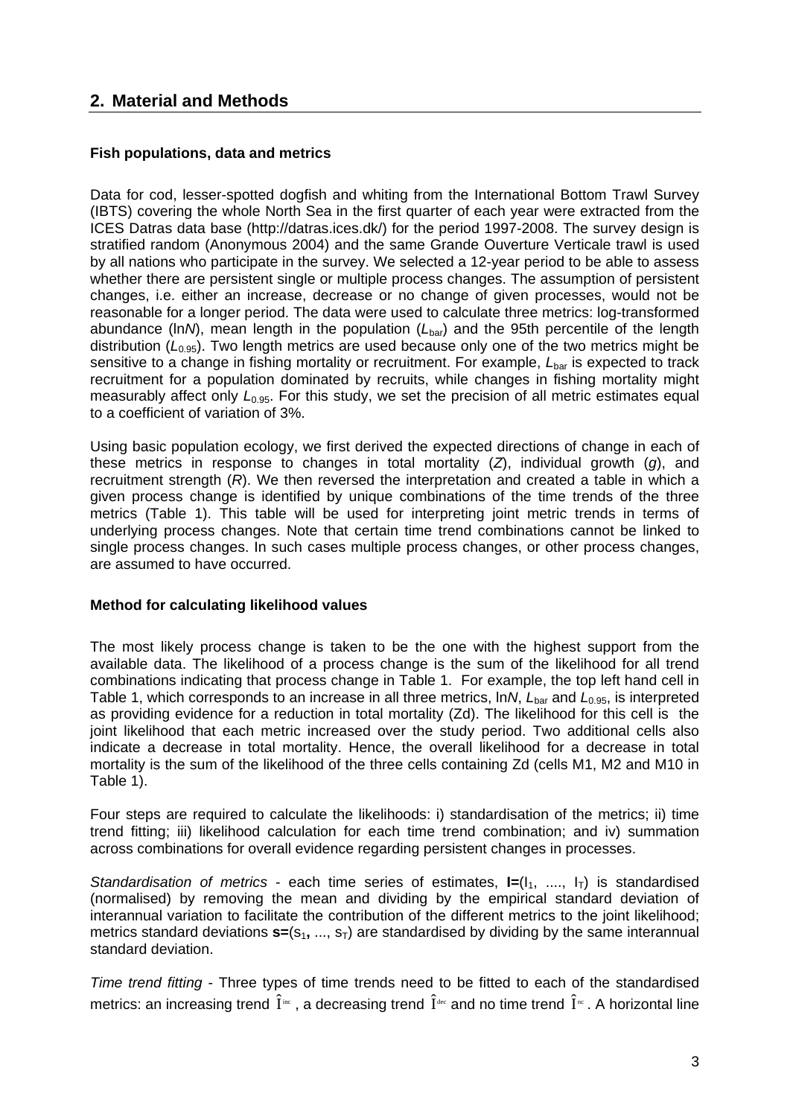### **2. Material and Methods**

### **Fish populations, data and metrics**

Data for cod, lesser-spotted dogfish and whiting from the International Bottom Trawl Survey (IBTS) covering the whole North Sea in the first quarter of each year were extracted from the ICES Datras data base (http://datras.ices.dk/) for the period 1997-2008. The survey design is stratified random (Anonymous 2004) and the same Grande Ouverture Verticale trawl is used by all nations who participate in the survey. We selected a 12-year period to be able to assess whether there are persistent single or multiple process changes. The assumption of persistent changes, i.e. either an increase, decrease or no change of given processes, would not be reasonable for a longer period. The data were used to calculate three metrics: log-transformed abundance (In*N*), mean length in the population ( $L<sub>bar</sub>$ ) and the 95th percentile of the length distribution ( $L_{0.95}$ ). Two length metrics are used because only one of the two metrics might be sensitive to a change in fishing mortality or recruitment. For example,  $L<sub>bar</sub>$  is expected to track recruitment for a population dominated by recruits, while changes in fishing mortality might measurably affect only  $L_{0.95}$ . For this study, we set the precision of all metric estimates equal to a coefficient of variation of 3%.

Using basic population ecology, we first derived the expected directions of change in each of these metrics in response to changes in total mortality (*Z*), individual growth (*g*), and recruitment strength (*R*). We then reversed the interpretation and created a table in which a given process change is identified by unique combinations of the time trends of the three metrics (Table 1). This table will be used for interpreting joint metric trends in terms of underlying process changes. Note that certain time trend combinations cannot be linked to single process changes. In such cases multiple process changes, or other process changes, are assumed to have occurred.

#### **Method for calculating likelihood values**

The most likely process change is taken to be the one with the highest support from the available data. The likelihood of a process change is the sum of the likelihood for all trend combinations indicating that process change in Table 1. For example, the top left hand cell in Table 1, which corresponds to an increase in all three metrics,  $\ln N$ ,  $L_{bar}$  and  $L_{0.95}$ , is interpreted as providing evidence for a reduction in total mortality (Zd). The likelihood for this cell is the joint likelihood that each metric increased over the study period. Two additional cells also indicate a decrease in total mortality. Hence, the overall likelihood for a decrease in total mortality is the sum of the likelihood of the three cells containing Zd (cells M1, M2 and M10 in Table 1).

Four steps are required to calculate the likelihoods: i) standardisation of the metrics; ii) time trend fitting; iii) likelihood calculation for each time trend combination; and iv) summation across combinations for overall evidence regarding persistent changes in processes.

*Standardisation of metrics - each time series of estimates,*  $I=(I_1, ..., I_T)$  *is standardised* (normalised) by removing the mean and dividing by the empirical standard deviation of interannual variation to facilitate the contribution of the different metrics to the joint likelihood; metrics standard deviations  $s=(s_1, ..., s_T)$  are standardised by dividing by the same interannual standard deviation.

*Time trend fitting* - Three types of time trends need to be fitted to each of the standardised metrics: an increasing trend  $\hat{1}$ <sup>inc</sup> , a decreasing trend  $\hat{1}$ <sup>dec</sup> and no time trend  $\hat{1}$ <sup>nc</sup> . A horizontal line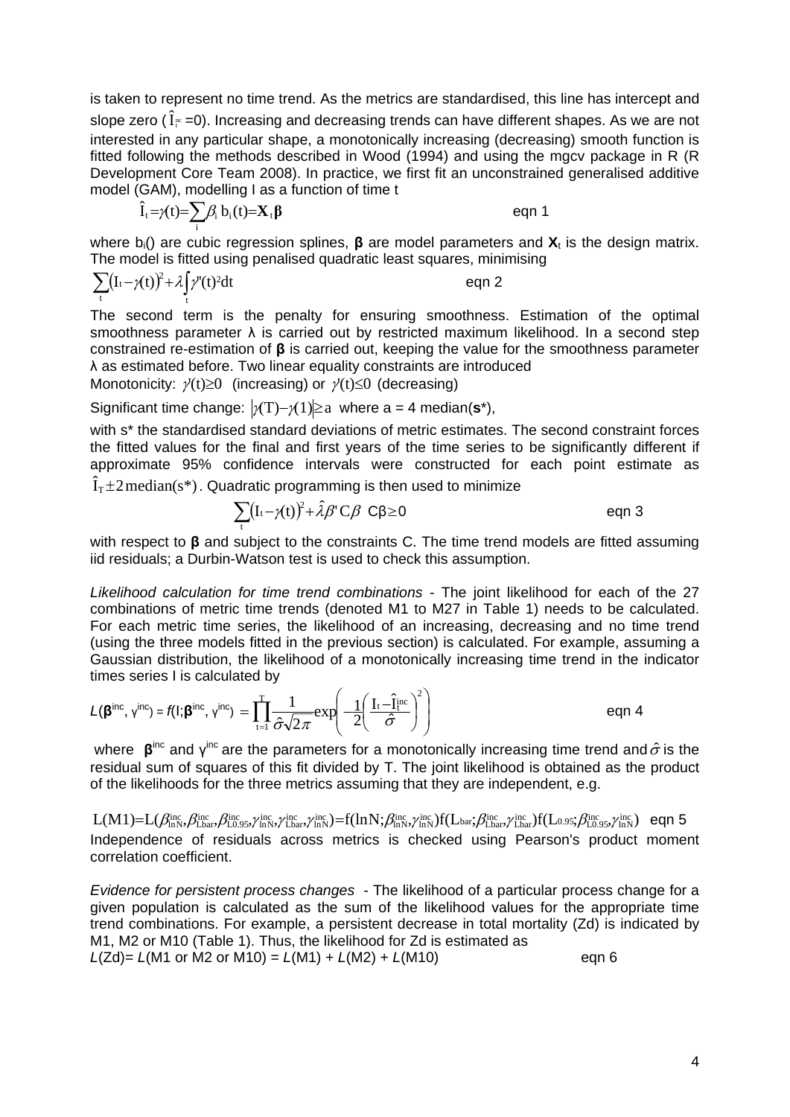is taken to represent no time trend. As the metrics are standardised, this line has intercept and slope zero (  $\hat{\rm I}^{\scriptscriptstyle{\rm sc}}_{\scriptscriptstyle{\rm f}}$  =0). Increasing and decreasing trends can have different shapes. As we are not interested in any particular shape, a monotonically increasing (decreasing) smooth function is fitted following the methods described in Wood (1994) and using the mgcv package in R (R Development Core Team 2008). In practice, we first fit an unconstrained generalised additive model (GAM), modelling I as a function of time t

$$
\hat{I}_t = \gamma(t) = \sum_i \beta_i b_i(t) = \mathbf{X}_t \boldsymbol{\beta}
$$

**eqn 1** 

where b<sub>i</sub>() are cubic regression splines, **β** are model parameters and **X**<sub>t</sub> is the design matrix. The model is fitted using penalised quadratic least squares, minimising

$$
\sum_{t} (I_t - \gamma(t))^2 + \lambda \int_t \gamma'(t)^2 dt
$$
 eqn 2

The second term is the penalty for ensuring smoothness. Estimation of the optimal smoothness parameter  $\lambda$  is carried out by restricted maximum likelihood. In a second step constrained re-estimation of **β** is carried out, keeping the value for the smoothness parameter λ as estimated before. Two linear equality constraints are introduced

Monotonicity:  $y'(t) \ge 0$  (increasing) or  $y'(t) \le 0$  (decreasing)

Significant time change:  $|\chi(T) - \chi(1)| \ge a$  where a = 4 median(s<sup>\*</sup>),

with s<sup>\*</sup> the standardised standard deviations of metric estimates. The second constraint forces the fitted values for the final and first years of the time series to be significantly different if approximate 95% confidence intervals were constructed for each point estimate as  $\hat{\mathbf{I}}_{\mathrm{T}}{\pm}2\,\mathrm{median}(\mathrm{s}^*)$  . Quadratic programming is then used to minimize

$$
\sum_{t} (I_t - \gamma(t))^2 + \hat{\lambda}\beta' C\beta C\beta \ge 0
$$
 eqn 3

with respect to **β** and subject to the constraints C. The time trend models are fitted assuming iid residuals; a Durbin-Watson test is used to check this assumption.

*Likelihood calculation for time trend combinations* - The joint likelihood for each of the 27 combinations of metric time trends (denoted M1 to M27 in Table 1) needs to be calculated. For each metric time series, the likelihood of an increasing, decreasing and no time trend (using the three models fitted in the previous section) is calculated. For example, assuming a Gaussian distribution, the likelihood of a monotonically increasing time trend in the indicator times series I is calculated by

$$
L(\beta^{\text{inc}}, \gamma^{\text{inc}}) = f(1; \beta^{\text{inc}}, \gamma^{\text{inc}}) = \prod_{t=1}^{T} \frac{1}{\hat{\sigma}\sqrt{2\pi}} \exp\left(-\frac{1}{2}\left(\frac{I_t - \hat{I}_t^{\text{inc}}}{\hat{\sigma}}\right)^2\right)
$$
eqn 4

where  $\beta^{\text{inc}}$  and  $\gamma^{\text{inc}}$  are the parameters for a monotonically increasing time trend and  $\hat{\sigma}$  is the residual sum of squares of this fit divided by T. The joint likelihood is obtained as the product of the likelihoods for the three metrics assuming that they are independent, e.g.

 $L(M1)=L(\beta_{\rm lnN}^{\rm inc},\beta_{\rm Lbar}^{\rm inc},\beta_{\rm L0.95}^{\rm inc},\gamma_{\rm lnN}^{\rm inc},\gamma_{\rm lnN}^{\rm inc})=f(lnN;\beta_{\rm lnN}^{\rm inc},\gamma_{\rm lnN}^{\rm inc})f(L_{\rm bar};\beta_{\rm Lbar}^{\rm inc},\gamma_{\rm Lbar}^{\rm inc})f(L_{0.95};\beta_{\rm L0.95}^{\rm inc},\gamma_{\rm lnN}^{\rm inc})$ eqn 5 Independence of residuals across metrics is checked using Pearson's product moment correlation coefficient.

*Evidence for persistent process changes* - The likelihood of a particular process change for a given population is calculated as the sum of the likelihood values for the appropriate time trend combinations. For example, a persistent decrease in total mortality (Zd) is indicated by M1, M2 or M10 (Table 1). Thus, the likelihood for Zd is estimated as *L*(Zd)= *L*(M1 or M2 or M10) = *L*(M1) + *L*(M2) + *L*(M10) eqn 6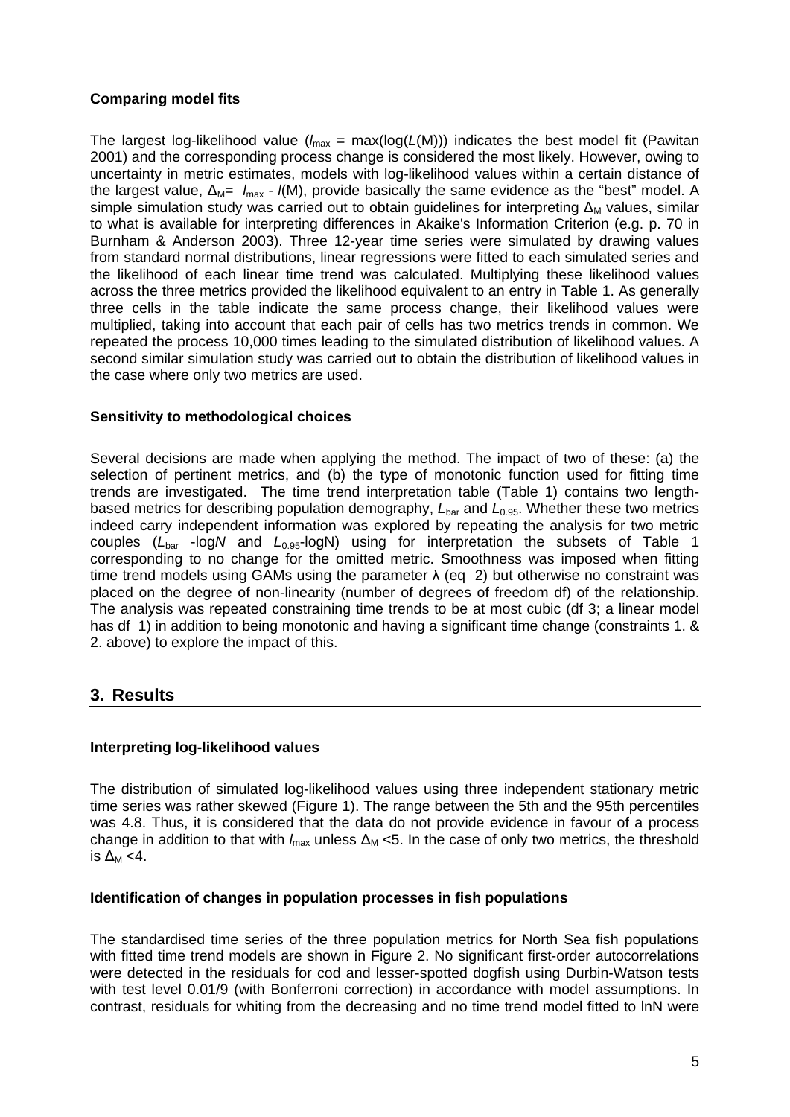### **Comparing model fits**

The largest log-likelihood value ( $l_{max}$  = max( $log(L(M))$ ) indicates the best model fit (Pawitan 2001) and the corresponding process change is considered the most likely. However, owing to uncertainty in metric estimates, models with log-likelihood values within a certain distance of the largest value,  $\Delta_{M}$ =  $I_{max}$  -  $I(M)$ , provide basically the same evidence as the "best" model. A simple simulation study was carried out to obtain guidelines for interpreting  $\Delta_M$  values, similar to what is available for interpreting differences in Akaike's Information Criterion (e.g. p. 70 in Burnham & Anderson 2003). Three 12-year time series were simulated by drawing values from standard normal distributions, linear regressions were fitted to each simulated series and the likelihood of each linear time trend was calculated. Multiplying these likelihood values across the three metrics provided the likelihood equivalent to an entry in Table 1. As generally three cells in the table indicate the same process change, their likelihood values were multiplied, taking into account that each pair of cells has two metrics trends in common. We repeated the process 10,000 times leading to the simulated distribution of likelihood values. A second similar simulation study was carried out to obtain the distribution of likelihood values in the case where only two metrics are used.

### **Sensitivity to methodological choices**

Several decisions are made when applying the method. The impact of two of these: (a) the selection of pertinent metrics, and (b) the type of monotonic function used for fitting time trends are investigated. The time trend interpretation table (Table 1) contains two lengthbased metrics for describing population demography,  $L_{bar}$  and  $L_{0.95}$ . Whether these two metrics indeed carry independent information was explored by repeating the analysis for two metric couples (*L*bar -log*N* and *L*0.95-logN) using for interpretation the subsets of Table 1 corresponding to no change for the omitted metric. Smoothness was imposed when fitting time trend models using GAMs using the parameter  $\lambda$  (eq 2) but otherwise no constraint was placed on the degree of non-linearity (number of degrees of freedom df) of the relationship. The analysis was repeated constraining time trends to be at most cubic (df 3; a linear model has df 1) in addition to being monotonic and having a significant time change (constraints 1. & 2. above) to explore the impact of this.

# **3. Results**

#### **Interpreting log-likelihood values**

The distribution of simulated log-likelihood values using three independent stationary metric time series was rather skewed (Figure 1). The range between the 5th and the 95th percentiles was 4.8. Thus, it is considered that the data do not provide evidence in favour of a process change in addition to that with  $I_{\text{max}}$  unless  $\Delta_M$  <5. In the case of only two metrics, the threshold is  $\Delta_M$  <4.

#### **Identification of changes in population processes in fish populations**

The standardised time series of the three population metrics for North Sea fish populations with fitted time trend models are shown in Figure 2. No significant first-order autocorrelations were detected in the residuals for cod and lesser-spotted dogfish using Durbin-Watson tests with test level 0.01/9 (with Bonferroni correction) in accordance with model assumptions. In contrast, residuals for whiting from the decreasing and no time trend model fitted to lnN were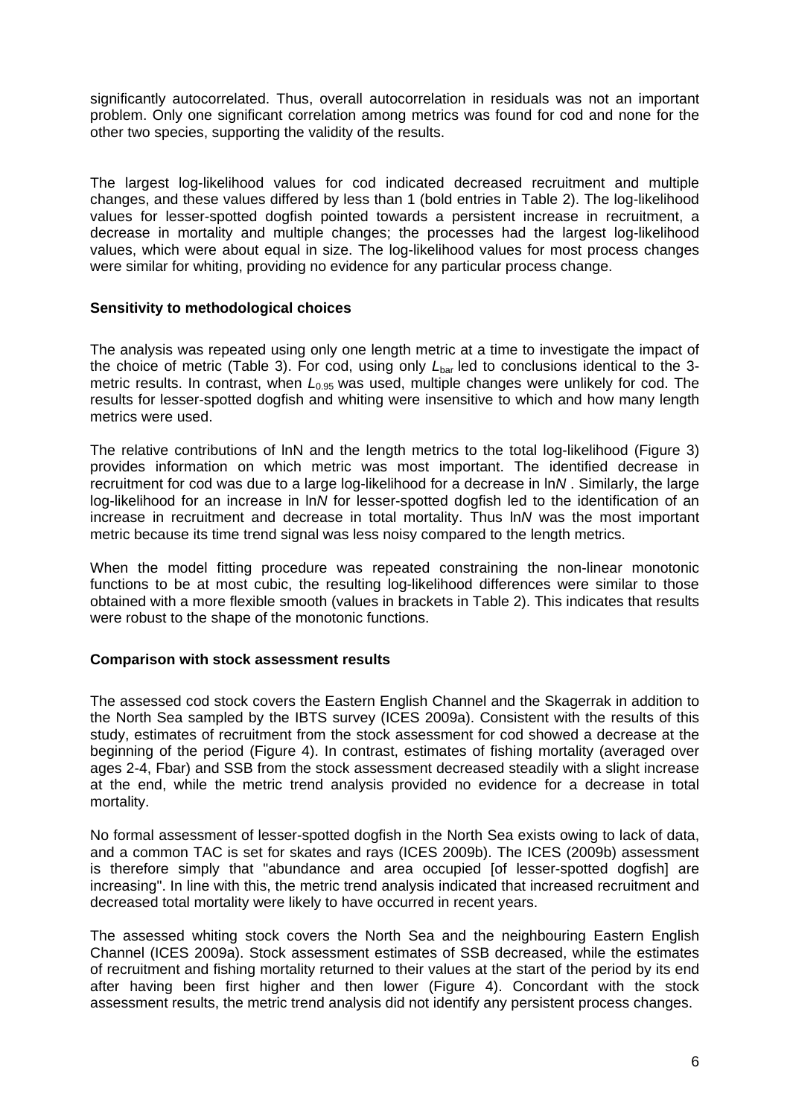significantly autocorrelated. Thus, overall autocorrelation in residuals was not an important problem. Only one significant correlation among metrics was found for cod and none for the other two species, supporting the validity of the results.

The largest log-likelihood values for cod indicated decreased recruitment and multiple changes, and these values differed by less than 1 (bold entries in Table 2). The log-likelihood values for lesser-spotted dogfish pointed towards a persistent increase in recruitment, a decrease in mortality and multiple changes; the processes had the largest log-likelihood values, which were about equal in size. The log-likelihood values for most process changes were similar for whiting, providing no evidence for any particular process change.

#### **Sensitivity to methodological choices**

The analysis was repeated using only one length metric at a time to investigate the impact of the choice of metric (Table 3). For cod, using only  $L_{bar}$  led to conclusions identical to the 3metric results. In contrast, when  $L_{0.95}$  was used, multiple changes were unlikely for cod. The results for lesser-spotted dogfish and whiting were insensitive to which and how many length metrics were used.

The relative contributions of lnN and the length metrics to the total log-likelihood (Figure 3) provides information on which metric was most important. The identified decrease in recruitment for cod was due to a large log-likelihood for a decrease in ln*N* . Similarly, the large log-likelihood for an increase in ln*N* for lesser-spotted dogfish led to the identification of an increase in recruitment and decrease in total mortality. Thus ln*N* was the most important metric because its time trend signal was less noisy compared to the length metrics.

When the model fitting procedure was repeated constraining the non-linear monotonic functions to be at most cubic, the resulting log-likelihood differences were similar to those obtained with a more flexible smooth (values in brackets in Table 2). This indicates that results were robust to the shape of the monotonic functions.

#### **Comparison with stock assessment results**

The assessed cod stock covers the Eastern English Channel and the Skagerrak in addition to the North Sea sampled by the IBTS survey (ICES 2009a). Consistent with the results of this study, estimates of recruitment from the stock assessment for cod showed a decrease at the beginning of the period (Figure 4). In contrast, estimates of fishing mortality (averaged over ages 2-4, Fbar) and SSB from the stock assessment decreased steadily with a slight increase at the end, while the metric trend analysis provided no evidence for a decrease in total mortality.

No formal assessment of lesser-spotted dogfish in the North Sea exists owing to lack of data, and a common TAC is set for skates and rays (ICES 2009b). The ICES (2009b) assessment is therefore simply that "abundance and area occupied [of lesser-spotted dogfish] are increasing". In line with this, the metric trend analysis indicated that increased recruitment and decreased total mortality were likely to have occurred in recent years.

The assessed whiting stock covers the North Sea and the neighbouring Eastern English Channel (ICES 2009a). Stock assessment estimates of SSB decreased, while the estimates of recruitment and fishing mortality returned to their values at the start of the period by its end after having been first higher and then lower (Figure 4). Concordant with the stock assessment results, the metric trend analysis did not identify any persistent process changes.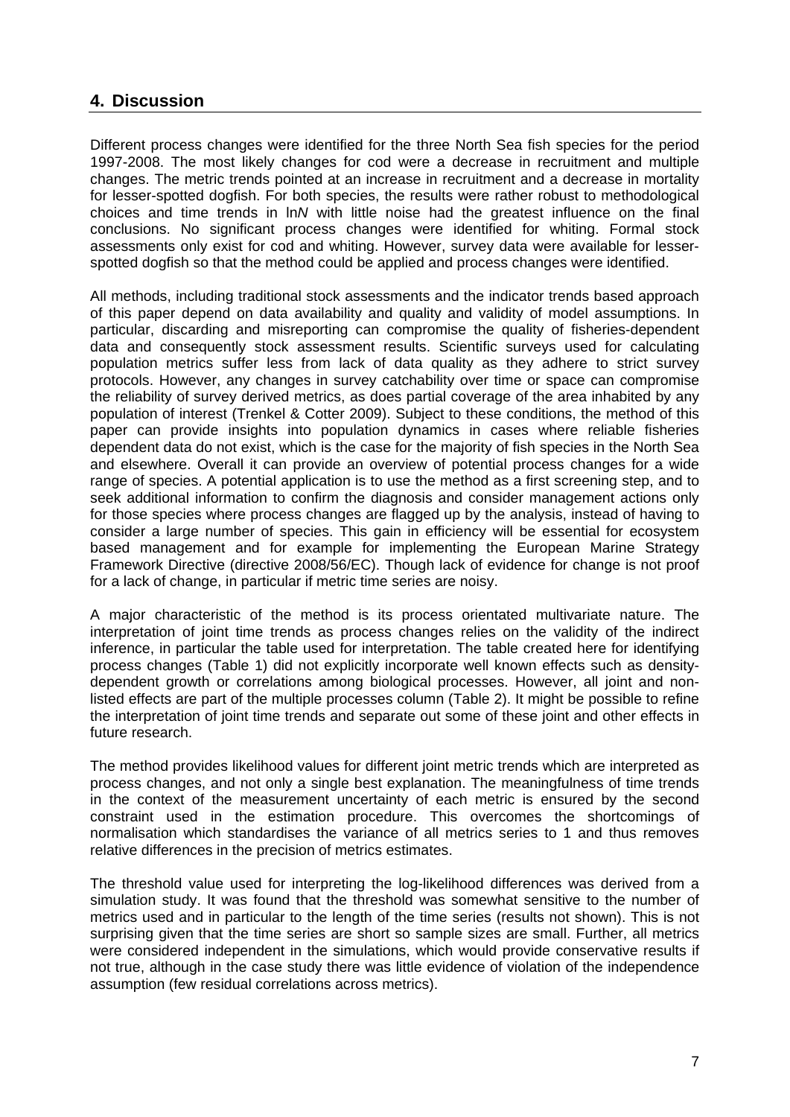### **4. Discussion**

Different process changes were identified for the three North Sea fish species for the period 1997-2008. The most likely changes for cod were a decrease in recruitment and multiple changes. The metric trends pointed at an increase in recruitment and a decrease in mortality for lesser-spotted dogfish. For both species, the results were rather robust to methodological choices and time trends in ln*N* with little noise had the greatest influence on the final conclusions. No significant process changes were identified for whiting. Formal stock assessments only exist for cod and whiting. However, survey data were available for lesserspotted dogfish so that the method could be applied and process changes were identified.

All methods, including traditional stock assessments and the indicator trends based approach of this paper depend on data availability and quality and validity of model assumptions. In particular, discarding and misreporting can compromise the quality of fisheries-dependent data and consequently stock assessment results. Scientific surveys used for calculating population metrics suffer less from lack of data quality as they adhere to strict survey protocols. However, any changes in survey catchability over time or space can compromise the reliability of survey derived metrics, as does partial coverage of the area inhabited by any population of interest (Trenkel & Cotter 2009). Subject to these conditions, the method of this paper can provide insights into population dynamics in cases where reliable fisheries dependent data do not exist, which is the case for the majority of fish species in the North Sea and elsewhere. Overall it can provide an overview of potential process changes for a wide range of species. A potential application is to use the method as a first screening step, and to seek additional information to confirm the diagnosis and consider management actions only for those species where process changes are flagged up by the analysis, instead of having to consider a large number of species. This gain in efficiency will be essential for ecosystem based management and for example for implementing the European Marine Strategy Framework Directive (directive 2008/56/EC). Though lack of evidence for change is not proof for a lack of change, in particular if metric time series are noisy.

A major characteristic of the method is its process orientated multivariate nature. The interpretation of joint time trends as process changes relies on the validity of the indirect inference, in particular the table used for interpretation. The table created here for identifying process changes (Table 1) did not explicitly incorporate well known effects such as densitydependent growth or correlations among biological processes. However, all joint and nonlisted effects are part of the multiple processes column (Table 2). It might be possible to refine the interpretation of joint time trends and separate out some of these joint and other effects in future research.

The method provides likelihood values for different joint metric trends which are interpreted as process changes, and not only a single best explanation. The meaningfulness of time trends in the context of the measurement uncertainty of each metric is ensured by the second constraint used in the estimation procedure. This overcomes the shortcomings of normalisation which standardises the variance of all metrics series to 1 and thus removes relative differences in the precision of metrics estimates.

The threshold value used for interpreting the log-likelihood differences was derived from a simulation study. It was found that the threshold was somewhat sensitive to the number of metrics used and in particular to the length of the time series (results not shown). This is not surprising given that the time series are short so sample sizes are small. Further, all metrics were considered independent in the simulations, which would provide conservative results if not true, although in the case study there was little evidence of violation of the independence assumption (few residual correlations across metrics).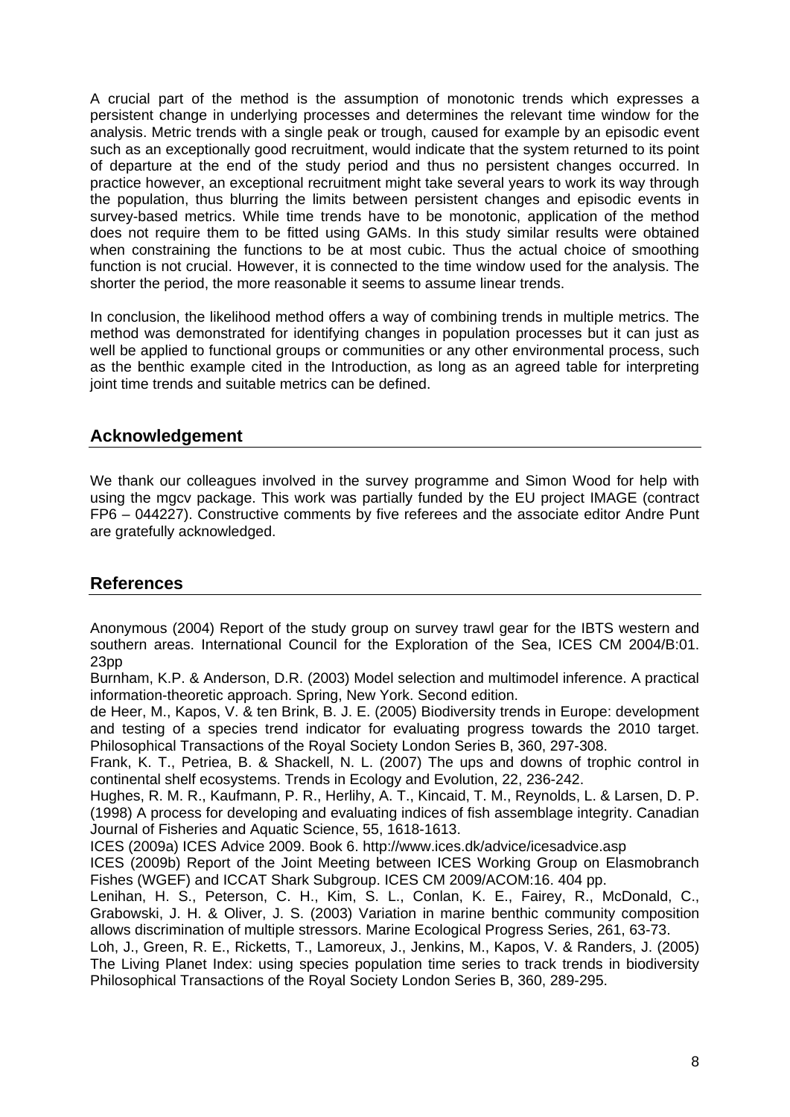A crucial part of the method is the assumption of monotonic trends which expresses a persistent change in underlying processes and determines the relevant time window for the analysis. Metric trends with a single peak or trough, caused for example by an episodic event such as an exceptionally good recruitment, would indicate that the system returned to its point of departure at the end of the study period and thus no persistent changes occurred. In practice however, an exceptional recruitment might take several years to work its way through the population, thus blurring the limits between persistent changes and episodic events in survey-based metrics. While time trends have to be monotonic, application of the method does not require them to be fitted using GAMs. In this study similar results were obtained when constraining the functions to be at most cubic. Thus the actual choice of smoothing function is not crucial. However, it is connected to the time window used for the analysis. The shorter the period, the more reasonable it seems to assume linear trends.

In conclusion, the likelihood method offers a way of combining trends in multiple metrics. The method was demonstrated for identifying changes in population processes but it can just as well be applied to functional groups or communities or any other environmental process, such as the benthic example cited in the Introduction, as long as an agreed table for interpreting joint time trends and suitable metrics can be defined.

# **Acknowledgement**

We thank our colleagues involved in the survey programme and Simon Wood for help with using the mgcv package. This work was partially funded by the EU project IMAGE (contract FP6 – 044227). Constructive comments by five referees and the associate editor Andre Punt are gratefully acknowledged.

# **References**

Anonymous (2004) Report of the study group on survey trawl gear for the IBTS western and southern areas. International Council for the Exploration of the Sea, ICES CM 2004/B:01. 23pp

Burnham, K.P. & Anderson, D.R. (2003) Model selection and multimodel inference. A practical information-theoretic approach. Spring, New York. Second edition.

de Heer, M., Kapos, V. & ten Brink, B. J. E. (2005) Biodiversity trends in Europe: development and testing of a species trend indicator for evaluating progress towards the 2010 target. Philosophical Transactions of the Royal Society London Series B, 360, 297-308.

Frank, K. T., Petriea, B. & Shackell, N. L. (2007) The ups and downs of trophic control in continental shelf ecosystems. Trends in Ecology and Evolution, 22, 236-242.

Hughes, R. M. R., Kaufmann, P. R., Herlihy, A. T., Kincaid, T. M., Reynolds, L. & Larsen, D. P. (1998) A process for developing and evaluating indices of fish assemblage integrity. Canadian Journal of Fisheries and Aquatic Science, 55, 1618-1613.

ICES (2009a) ICES Advice 2009. Book 6. http://www.ices.dk/advice/icesadvice.asp

ICES (2009b) Report of the Joint Meeting between ICES Working Group on Elasmobranch Fishes (WGEF) and ICCAT Shark Subgroup. ICES CM 2009/ACOM:16. 404 pp.

Lenihan, H. S., Peterson, C. H., Kim, S. L., Conlan, K. E., Fairey, R., McDonald, C., Grabowski, J. H. & Oliver, J. S. (2003) Variation in marine benthic community composition allows discrimination of multiple stressors. Marine Ecological Progress Series, 261, 63-73.

Loh, J., Green, R. E., Ricketts, T., Lamoreux, J., Jenkins, M., Kapos, V. & Randers, J. (2005) The Living Planet Index: using species population time series to track trends in biodiversity Philosophical Transactions of the Royal Society London Series B, 360, 289-295.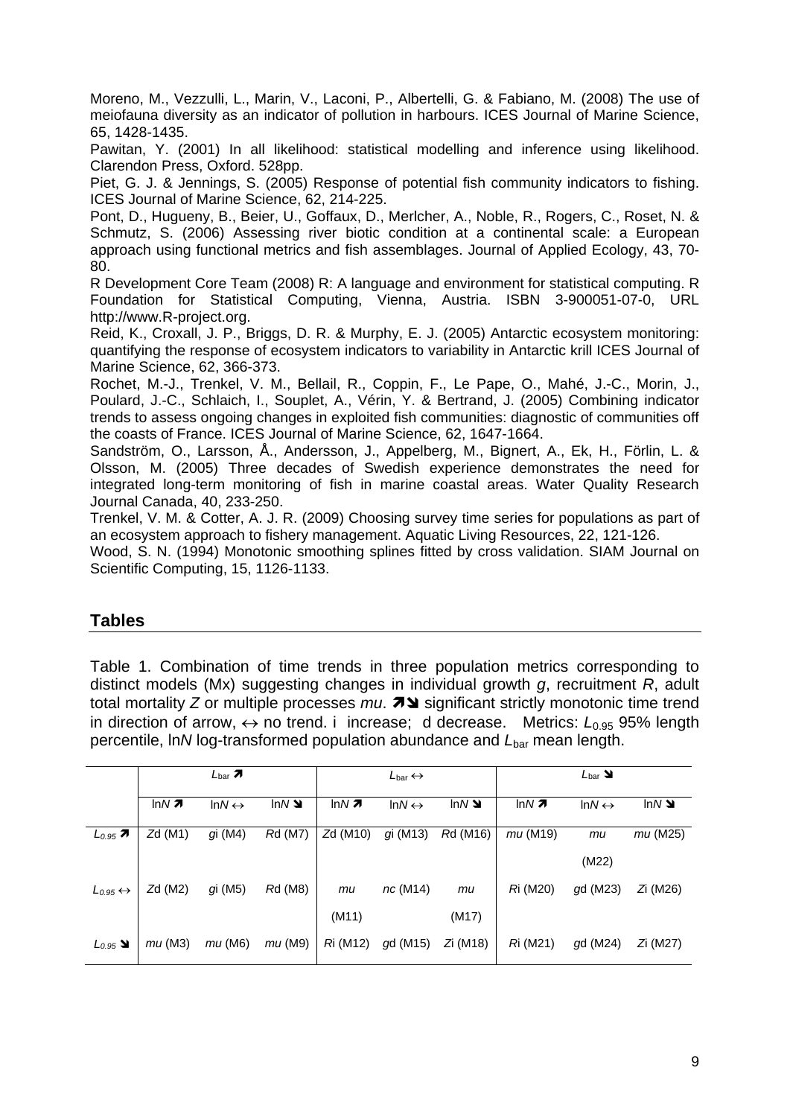Moreno, M., Vezzulli, L., Marin, V., Laconi, P., Albertelli, G. & Fabiano, M. (2008) The use of meiofauna diversity as an indicator of pollution in harbours. ICES Journal of Marine Science, 65, 1428-1435.

Pawitan, Y. (2001) In all likelihood: statistical modelling and inference using likelihood. Clarendon Press, Oxford. 528pp.

Piet, G. J. & Jennings, S. (2005) Response of potential fish community indicators to fishing. ICES Journal of Marine Science, 62, 214-225.

Pont, D., Hugueny, B., Beier, U., Goffaux, D., Merlcher, A., Noble, R., Rogers, C., Roset, N. & Schmutz, S. (2006) Assessing river biotic condition at a continental scale: a European approach using functional metrics and fish assemblages. Journal of Applied Ecology, 43, 70- 80.

R Development Core Team (2008) R: A language and environment for statistical computing. R Foundation for Statistical Computing, Vienna, Austria. ISBN 3-900051-07-0, URL http://www.R-project.org.

Reid, K., Croxall, J. P., Briggs, D. R. & Murphy, E. J. (2005) Antarctic ecosystem monitoring: quantifying the response of ecosystem indicators to variability in Antarctic krill ICES Journal of Marine Science, 62, 366-373.

Rochet, M.-J., Trenkel, V. M., Bellail, R., Coppin, F., Le Pape, O., Mahé, J.-C., Morin, J., Poulard, J.-C., Schlaich, I., Souplet, A., Vérin, Y. & Bertrand, J. (2005) Combining indicator trends to assess ongoing changes in exploited fish communities: diagnostic of communities off the coasts of France. ICES Journal of Marine Science, 62, 1647-1664.

Sandström, O., Larsson, Å., Andersson, J., Appelberg, M., Bignert, A., Ek, H., Förlin, L. & Olsson, M. (2005) Three decades of Swedish experience demonstrates the need for integrated long-term monitoring of fish in marine coastal areas. Water Quality Research Journal Canada, 40, 233-250.

Trenkel, V. M. & Cotter, A. J. R. (2009) Choosing survey time series for populations as part of an ecosystem approach to fishery management. Aquatic Living Resources, 22, 121-126.

Wood, S. N. (1994) Monotonic smoothing splines fitted by cross validation. SIAM Journal on Scientific Computing, 15, 1126-1133.

# **Tables**

Table 1. Combination of time trends in three population metrics corresponding to distinct models (Mx) suggesting changes in individual growth *g*, recruitment *R*, adult total mortality  $Z$  or multiple processes  $mu$ .  $Z \rightarrow$  significant strictly monotonic time trend in direction of arrow,  $\leftrightarrow$  no trend. i increase; d decrease. Metrics:  $L_{0.95}$  95% length percentile, In*N* log-transformed population abundance and  $L_{bar}$  mean length.

|                            | $L_{\text{bar}}$ $\pi$ |                        |                |                  | $L_{bar} \leftrightarrow$ |                  | $L_{bar}$ $\blacktriangleleft$ |                       |            |  |
|----------------------------|------------------------|------------------------|----------------|------------------|---------------------------|------------------|--------------------------------|-----------------------|------------|--|
|                            | $lnN$ $\pi$            | $ln N \leftrightarrow$ | LN             | $lnN$ $\pi$      | $lnN \leftrightarrow$     | INN              | $lnN$ $\pi$                    | $lnN \leftrightarrow$ | lnN        |  |
| $L_{0.95}$ $7$             | $Zd$ (M1)              | gi (M4)                | <b>Rd</b> (M7) | Zd (M10)         | gi (M13)                  | <i>R</i> d (M16) | mu(M19)                        | mu                    | $mu$ (M25) |  |
|                            |                        |                        |                |                  |                           |                  |                                | (M22)                 |            |  |
| $L_{0.95} \leftrightarrow$ | $Zd$ (M2)              | gi (M5)                | <b>Rd</b> (M8) | mu               | nc(M14)                   | mu               | <i>R</i> i (M20)               | gd (M23)              | Zi (M26)   |  |
|                            |                        |                        |                | (M11)            |                           | (M17)            |                                |                       |            |  |
| $L_{0.95}$ $\triangleleft$ | mu(M3)                 | mu(M6)                 | mu(M9)         | <i>R</i> i (M12) | gd (M15)                  | $ZI$ (M18)       | <i>R</i> i (M21)               | gd (M24)              | Zi (M27)   |  |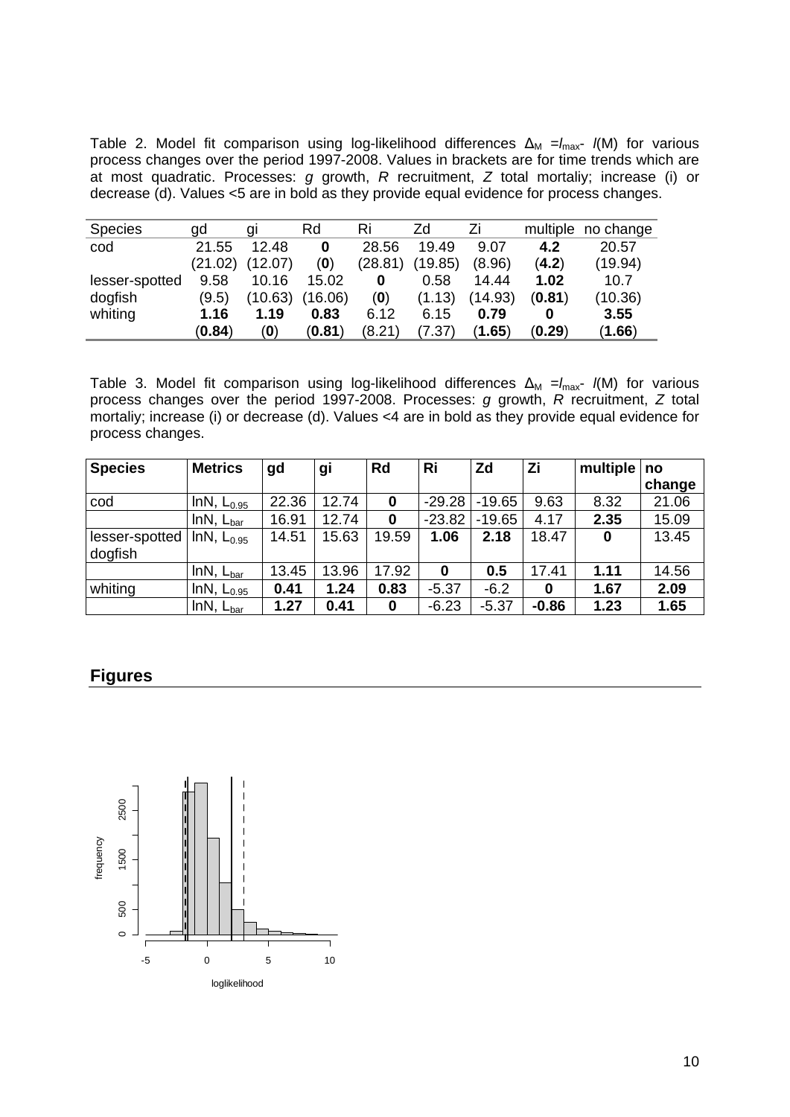Table 2. Model fit comparison using log-likelihood differences Δ<sub>M</sub> =  $I_{\text{max}}$ - /(M) for various process changes over the period 1997-2008. Values in brackets are for time trends which are at most quadratic. Processes: *g* growth, *R* recruitment, *Z* total mortaliy; increase (i) or decrease (d). Values <5 are in bold as they provide equal evidence for process changes.

| <b>Species</b> | gd      | gı      | Rd      | Ri      | Ζd      | Ζi      | multiple | no change |
|----------------|---------|---------|---------|---------|---------|---------|----------|-----------|
| cod            | 21.55   | 12.48   | 0       | 28.56   | 19.49   | 9.07    | 4.2      | 20.57     |
|                |         |         |         |         |         |         |          |           |
|                | (21.02) | (12.07) | (0)     | (28.81) | (19.85) | (8.96)  | (4.2)    | (19.94)   |
| lesser-spotted | 9.58    | 10.16   | 15.02   | 0       | 0.58    | 14.44   | 1.02     | 10.7      |
| dogfish        | (9.5)   | (10.63) | (16.06) | (0)     | (1.13)  | (14.93) | (0.81)   | (10.36)   |
| whiting        | 1.16    | 1.19    | 0.83    | 6.12    | 6.15    | 0.79    | 0        | 3.55      |
|                | (0.84)  | (0)     | (0.81)  | (8.21)  | (7.37)  | (1.65)  | (0.29)   | (1.66)    |

Table 3. Model fit comparison using log-likelihood differences Δ<sub>M</sub> = l<sub>max</sub>- l(M) for various process changes over the period 1997-2008. Processes: *g* growth, *R* recruitment, *Z* total mortaliy; increase (i) or decrease (d). Values <4 are in bold as they provide equal evidence for process changes.

| <b>Species</b>            | <b>Metrics</b>         | gd    | gi    | Rd    | Ri       | Zd       | Zi       | multiple $ no$ |        |
|---------------------------|------------------------|-------|-------|-------|----------|----------|----------|----------------|--------|
|                           |                        |       |       |       |          |          |          |                | change |
| cod                       | InN, $L_{0.95}$        | 22.36 | 12.74 | 0     | $-29.28$ | $-19.65$ | 9.63     | 8.32           | 21.06  |
|                           | InN, $L_{\rm bar}$     | 16.91 | 12.74 | 0     | $-23.82$ | $-19.65$ | 4.17     | 2.35           | 15.09  |
| lesser-spotted<br>dogfish | InN, L <sub>0.95</sub> | 14.51 | 15.63 | 19.59 | 1.06     | 2.18     | 18.47    | 0              | 13.45  |
|                           | InN, $L_{\rm bar}$     | 13.45 | 13.96 | 17.92 | 0        | 0.5      | 17.41    | 1.11           | 14.56  |
| whiting                   | InN, $L_{0.95}$        | 0.41  | 1.24  | 0.83  | $-5.37$  | $-6.2$   | $\bf{0}$ | 1.67           | 2.09   |
|                           | $lnN, L_{bar}$         | 1.27  | 0.41  | 0     | $-6.23$  | $-5.37$  | $-0.86$  | 1.23           | 1.65   |

# **Figures**

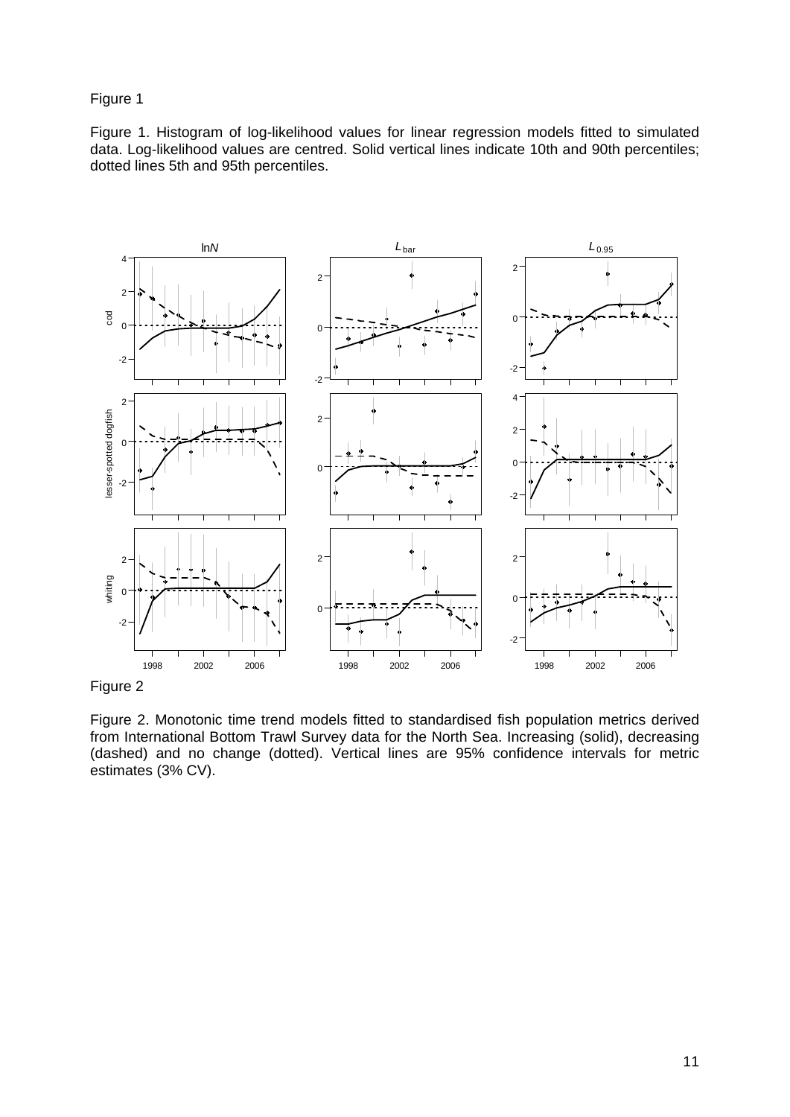### Figure 1

Figure 1. Histogram of log-likelihood values for linear regression models fitted to simulated data. Log-likelihood values are centred. Solid vertical lines indicate 10th and 90th percentiles; dotted lines 5th and 95th percentiles.



Figure 2

Figure 2. Monotonic time trend models fitted to standardised fish population metrics derived from International Bottom Trawl Survey data for the North Sea. Increasing (solid), decreasing (dashed) and no change (dotted). Vertical lines are 95% confidence intervals for metric estimates (3% CV).